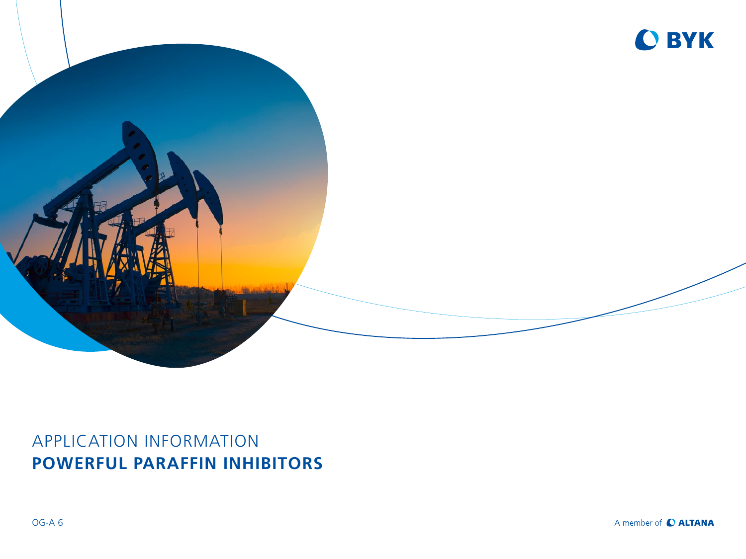

## APPLICATION INFORMATION **POWERFUL PARAFFIN INHIBITORS**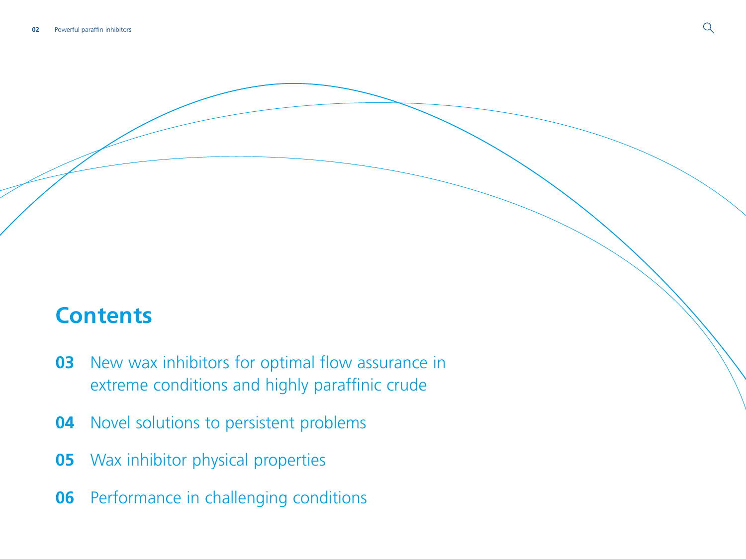# **Contents**

- New wax inhibitors for optimal flow assurance in [extreme conditions and highly paraffinic crude](#page-2-0)
- [Novel solutions to persistent problems](#page-3-0)
- [Wax inhibitor physical properties](#page-4-0)
- [Performance in challenging conditions](#page-5-0)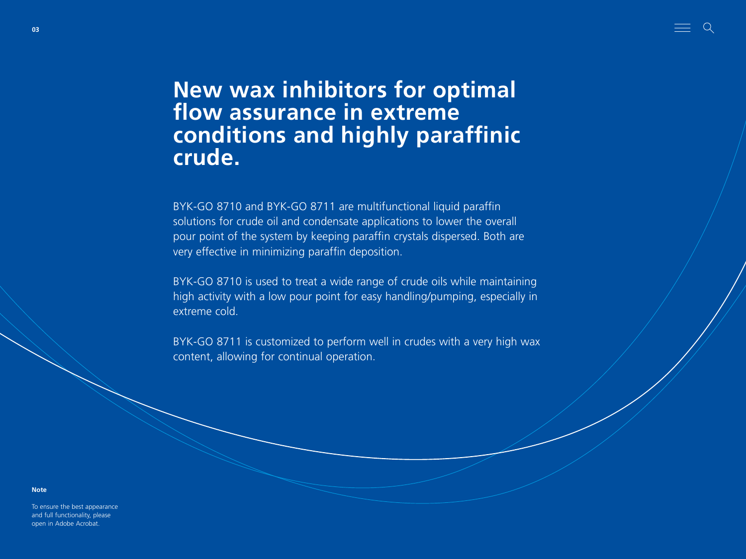# <span id="page-2-0"></span>**New wax inhibitors for optimal flow assurance in extreme conditions and highly paraffinic crude.**

<u>e a s</u>

BYK-GO 8710 and BYK-GO 8711 are multifunctional liquid paraffin solutions for crude oil and condensate applications to lower the overall pour point of the system by keeping paraffin crystals dispersed. Both are very effective in minimizing paraffin deposition.

BYK-GO 8710 is used to treat a wide range of crude oils while maintaining high activity with a low pour point for easy handling/pumping, especially in extreme cold.

BYK-GO 8711 is customized to perform well in crudes with a very high wax content, allowing for continual operation.

**Note**

To ensure the best appearance and full functionality, please open in Adobe Acrobat.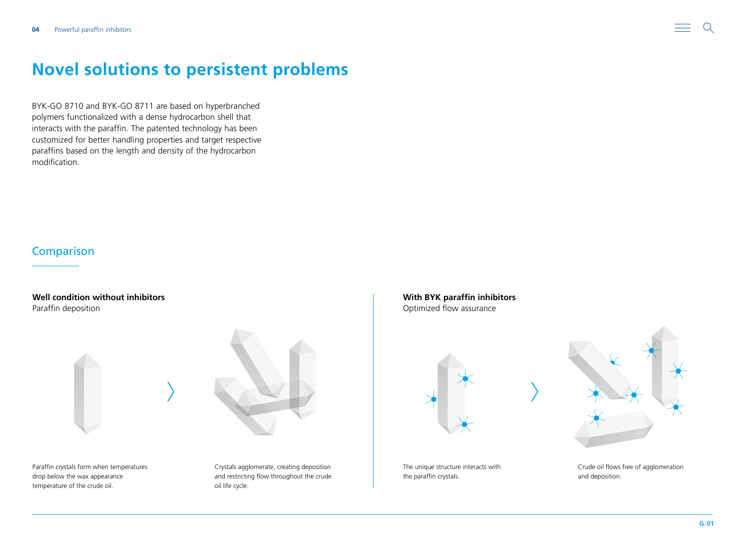<span id="page-3-0"></span>

BYK-GO 8710 and BYK-GO 8711 are based on hyperbranched polymers functionalized with a dense hydrocarbon shell that interacts with the paraffin. The patented technology has been customized for better handling properties and target respective paraffins based on the length and density of the hydrocarbon modification.

### **Comparison**

**Well condition without inhibitors** Paraffin deposition



Paraffin crystals form when temperatures drop below the wax appearance temperature of the crude oil.

Crystals agglomerate, creating deposition and restricting flow throughout the crude oil life cycle.

**With BYK paraffin inhibitors**  Optimized flow assurance



The unique structure interacts with the paraffin crystals.



Crude oil flows free of agglomeration and deposition.

 $\Omega$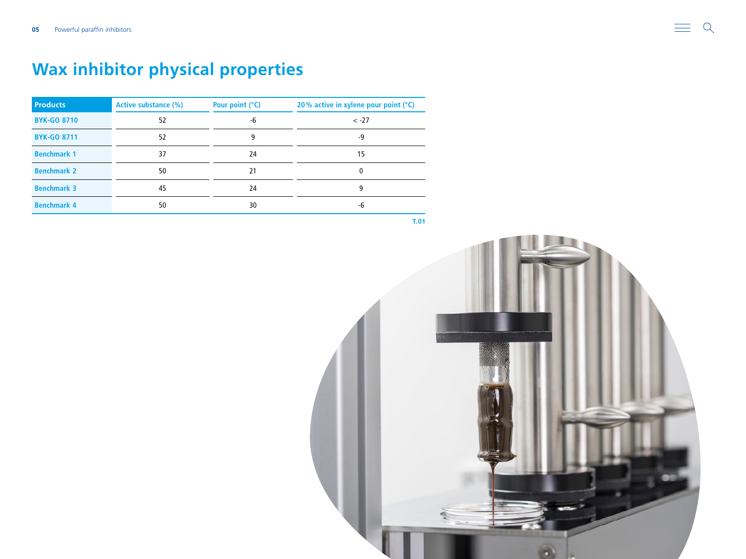# <span id="page-4-0"></span>**Wax inhibitor physical properties**

| <b>Products</b>    | <b>Active substance (%)</b> | Pour point (°C) | 20% active in xylene pour point $(°C)$ |
|--------------------|-----------------------------|-----------------|----------------------------------------|
| <b>BYK-GO 8710</b> | 52                          | -6              | $< -27$                                |
| <b>BYK-GO 8711</b> | 52                          | 9               | -9                                     |
| <b>Benchmark 1</b> | 37                          | 24              | 15                                     |
| <b>Benchmark 2</b> | 50                          | 21              | 0                                      |
| <b>Benchmark 3</b> | 45                          | 24              | 9                                      |
| <b>Benchmark 4</b> | 50                          | 30              | -6                                     |

**T.01**

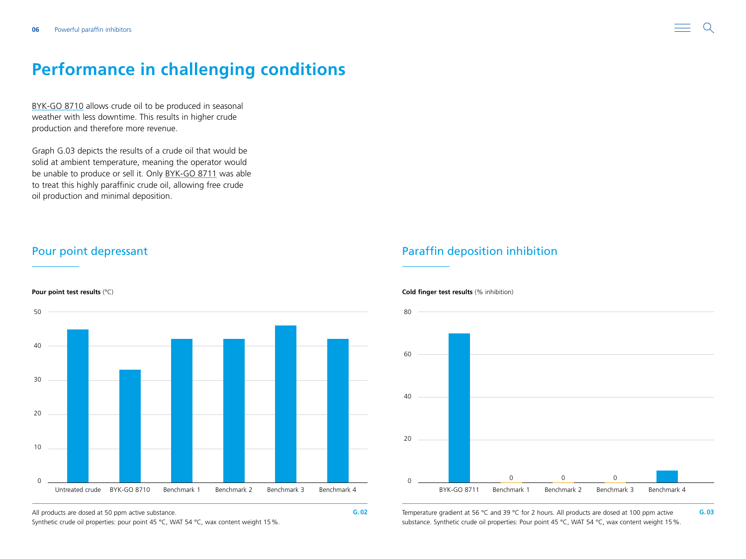## <span id="page-5-0"></span>**Performance in challenging conditions**

[BYK-GO 8710](https://www.byk.com/en/products/additives-by-name/byk-go-8710) allows crude oil to be produced in seasonal weather with less downtime. This results in higher crude production and therefore more revenue.

Graph G.03 depicts the results of a crude oil that would be solid at ambient temperature, meaning the operator would be unable to produce or sell it. Only [BYK-GO 8711](https://www.byk.com/en/products/additives-by-name/byk-go-8711) was able to treat this highly paraffinic crude oil, allowing free crude oil production and minimal deposition.



Synthetic crude oil properties: pour point 45 °C, WAT 54 °C, wax content weight 15 %.

### Pour point depressant **Paraffin deposition inhibition** Paraffin deposition inhibition



All products are dosed at 50 ppm active substance. **G.03 G.02 G.02 G.02 G.03 G.03 G.03 G.03 G.03 G.03 G.03 G.03 G.03 G.03 G.03 G.03 G.03 G.03 G.03 G.03 G.03 G.03 G.03 G.03 G.** substance. Synthetic crude oil properties: Pour point 45 °C, WAT 54 °C, wax content weight 15%.